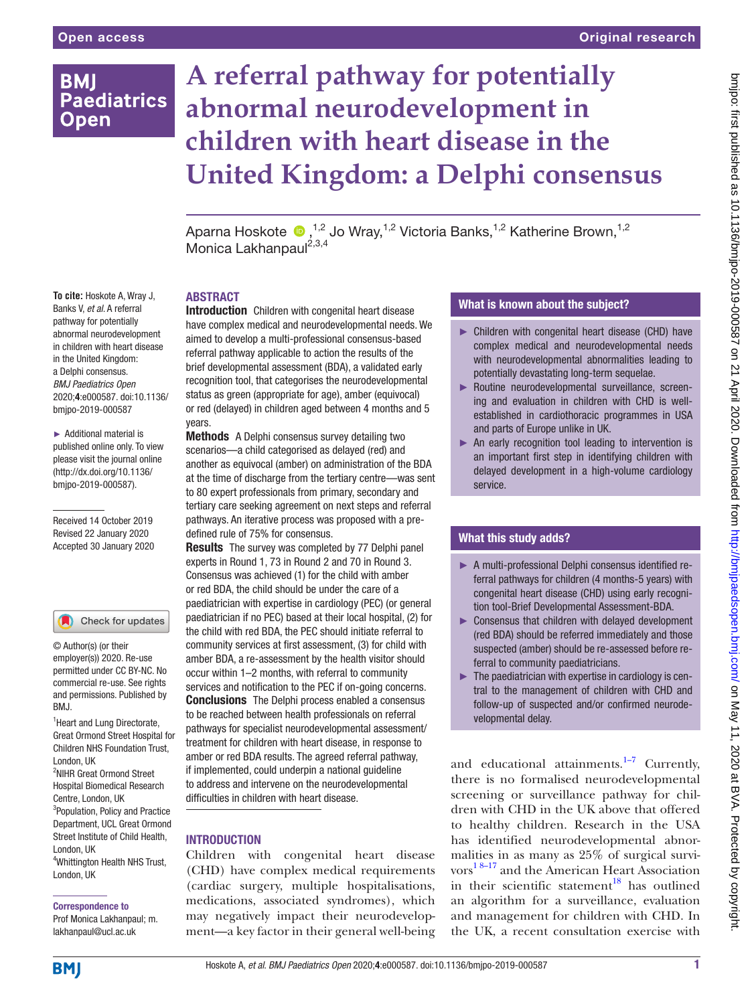# **BMI Paediatrics Open**

# **A referral pathway for potentially abnormal neurodevelopment in children with heart disease in the United Kingdom: a Delphi consensus**

Aparna Hoskote  $\bigcirc$  ,<sup>1,2</sup> Jo Wray,<sup>1,2</sup> Victoria Banks,<sup>1,2</sup> Katherine Brown,<sup>1,2</sup> Monica Lakhanpaul<sup>2,3,4</sup>

**To cite:** Hoskote A, Wray J, Banks V, *et al*. A referral pathway for potentially abnormal neurodevelopment in children with heart disease in the United Kingdom: a Delphi consensus. *BMJ Paediatrics Open* 2020;4:e000587. doi:10.1136/ bmjpo-2019-000587

► Additional material is published online only. To view please visit the journal online ([http://dx.doi.org/10.1136/](http://dx.doi.org/10.1136/bmjpo-2019-000587) [bmjpo-2019-000587](http://dx.doi.org/10.1136/bmjpo-2019-000587)).

Received 14 October 2019 Revised 22 January 2020 Accepted 30 January 2020

#### Check for updates

© Author(s) (or their employer(s)) 2020. Re-use permitted under CC BY-NC. No commercial re-use. See rights and permissions. Published by BMJ.

<sup>1</sup> Heart and Lung Directorate, Great Ormond Street Hospital for Children NHS Foundation Trust, London, UK

<sup>2</sup>NIHR Great Ormond Street Hospital Biomedical Research Centre, London, UK <sup>3</sup>Population, Policy and Practice Department, UCL Great Ormond Street Institute of Child Health, London, UK

4 Whittington Health NHS Trust, London, UK

#### Correspondence to

Prof Monica Lakhanpaul; m. lakhanpaul@ucl.ac.uk

#### **ABSTRACT**

**Introduction** Children with congenital heart disease have complex medical and neurodevelopmental needs. We aimed to develop a multi-professional consensus-based referral pathway applicable to action the results of the brief developmental assessment (BDA), a validated early recognition tool, that categorises the neurodevelopmental status as green (appropriate for age), amber (equivocal) or red (delayed) in children aged between 4 months and 5 years.

Methods A Delphi consensus survey detailing two scenarios—a child categorised as delayed (red) and another as equivocal (amber) on administration of the BDA at the time of discharge from the tertiary centre—was sent to 80 expert professionals from primary, secondary and tertiary care seeking agreement on next steps and referral pathways. An iterative process was proposed with a predefined rule of 75% for consensus.

**Results** The survey was completed by 77 Delphi panel experts in Round 1, 73 in Round 2 and 70 in Round 3. Consensus was achieved (1) for the child with amber or red BDA, the child should be under the care of a paediatrician with expertise in cardiology (PEC) (or general paediatrician if no PEC) based at their local hospital, (2) for the child with red BDA, the PEC should initiate referral to community services at first assessment, (3) for child with amber BDA, a re-assessment by the health visitor should occur within 1–2 months, with referral to community services and notification to the PEC if on-going concerns. **Conclusions** The Delphi process enabled a consensus to be reached between health professionals on referral pathways for specialist neurodevelopmental assessment/ treatment for children with heart disease, in response to amber or red BDA results. The agreed referral pathway, if implemented, could underpin a national guideline to address and intervene on the neurodevelopmental difficulties in children with heart disease.

# **INTRODUCTION**

Children with congenital heart disease (CHD) have complex medical requirements (cardiac surgery, multiple hospitalisations, medications, associated syndromes), which may negatively impact their neurodevelopment—a key factor in their general well-being

# What is known about the subject?

- ► Children with congenital heart disease (CHD) have complex medical and neurodevelopmental needs with neurodevelopmental abnormalities leading to potentially devastating long-term sequelae.
- ► Routine neurodevelopmental surveillance, screening and evaluation in children with CHD is wellestablished in cardiothoracic programmes in USA and parts of Europe unlike in UK.
- ► An early recognition tool leading to intervention is an important first step in identifying children with delayed development in a high-volume cardiology service.

# What this study adds?

- ► A multi-professional Delphi consensus identified referral pathways for children (4 months-5 years) with congenital heart disease (CHD) using early recognition tool-Brief Developmental Assessment-BDA.
- ► Consensus that children with delayed development (red BDA) should be referred immediately and those suspected (amber) should be re-assessed before referral to community paediatricians.
- $\blacktriangleright$  The paediatrician with expertise in cardiology is central to the management of children with CHD and follow-up of suspected and/or confirmed neurodevelopmental delay.

and educational attainments. $1-7$  Currently, there is no formalised neurodevelopmental screening or surveillance pathway for children with CHD in the UK above that offered to healthy children. Research in the USA has identified neurodevelopmental abnormalities in as many as 25% of surgical survivors [1 8–17](#page-8-0) and the American Heart Association in their scientific statement<sup>18</sup> has outlined an algorithm for a surveillance, evaluation and management for children with CHD. In the UK, a recent consultation exercise with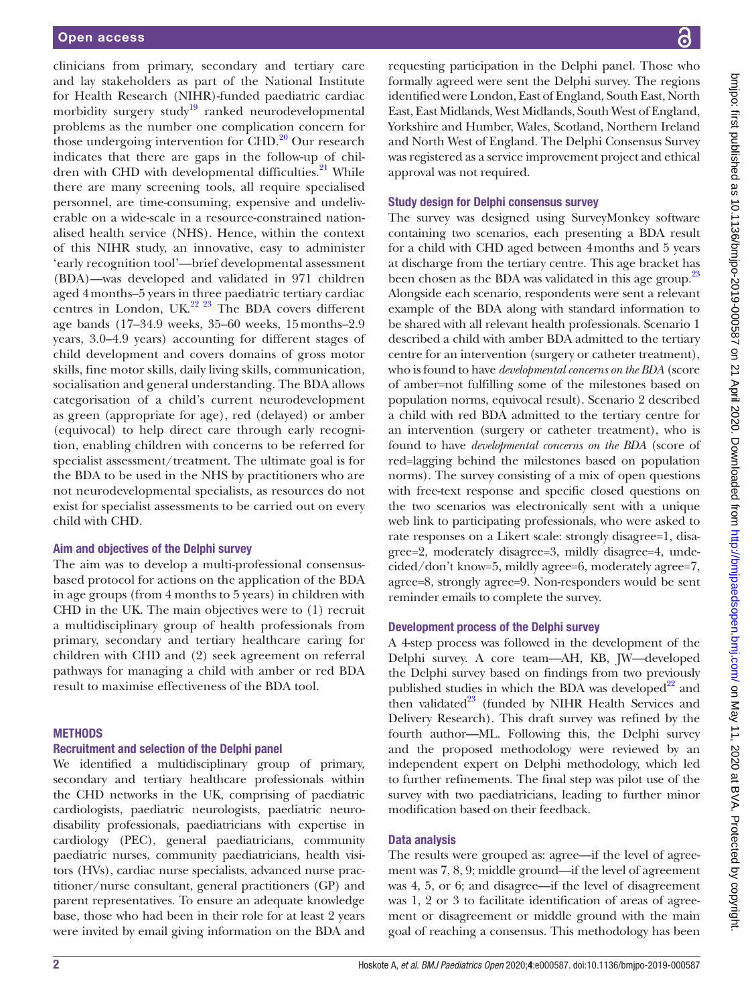clinicians from primary, secondary and tertiary care and lay stakeholders as part of the National Institute for Health Research (NIHR)-funded paediatric cardiac morbidity surgery study<sup>[19](#page-8-2)</sup> ranked neurodevelopmental problems as the number one complication concern for those undergoing intervention for  $\rm CHD$ .<sup>[20](#page-8-3)</sup> Our research indicates that there are gaps in the follow-up of children with CHD with developmental difficulties.<sup>21</sup> While there are many screening tools, all require specialised personnel, are time-consuming, expensive and undeliverable on a wide-scale in a resource-constrained nationalised health service (NHS). Hence, within the context of this NIHR study, an innovative, easy to administer 'early recognition tool'—brief developmental assessment (BDA)—was developed and validated in 971 children aged 4months–5 years in three paediatric tertiary cardiac centres in London, UK.<sup>22 23</sup> The BDA covers different age bands (17–34.9 weeks, 35–60 weeks, 15months–2.9 years, 3.0–4.9 years) accounting for different stages of child development and covers domains of gross motor skills, fine motor skills, daily living skills, communication, socialisation and general understanding. The BDA allows categorisation of a child's current neurodevelopment as green (appropriate for age), red (delayed) or amber (equivocal) to help direct care through early recognition, enabling children with concerns to be referred for specialist assessment/treatment. The ultimate goal is for the BDA to be used in the NHS by practitioners who are not neurodevelopmental specialists, as resources do not exist for specialist assessments to be carried out on every child with CHD.

#### Aim and objectives of the Delphi survey

The aim was to develop a multi-professional consensusbased protocol for actions on the application of the BDA in age groups (from 4 months to 5 years) in children with CHD in the UK. The main objectives were to (1) recruit a multidisciplinary group of health professionals from primary, secondary and tertiary healthcare caring for children with CHD and (2) seek agreement on referral pathways for managing a child with amber or red BDA result to maximise effectiveness of the BDA tool.

#### **METHODS**

#### Recruitment and selection of the Delphi panel

We identified a multidisciplinary group of primary, secondary and tertiary healthcare professionals within the CHD networks in the UK, comprising of paediatric cardiologists, paediatric neurologists, paediatric neurodisability professionals, paediatricians with expertise in cardiology (PEC), general paediatricians, community paediatric nurses, community paediatricians, health visitors (HVs), cardiac nurse specialists, advanced nurse practitioner/nurse consultant, general practitioners (GP) and parent representatives. To ensure an adequate knowledge base, those who had been in their role for at least 2 years were invited by email giving information on the BDA and

requesting participation in the Delphi panel. Those who formally agreed were sent the Delphi survey. The regions identified were London, East of England, South East, North East, East Midlands, West Midlands, South West of England, Yorkshire and Humber, Wales, Scotland, Northern Ireland and North West of England. The Delphi Consensus Survey was registered as a service improvement project and ethical approval was not required.

#### Study design for Delphi consensus survey

The survey was designed using SurveyMonkey software containing two scenarios, each presenting a BDA result for a child with CHD aged between 4months and 5 years at discharge from the tertiary centre. This age bracket has been chosen as the BDA was validated in this age group.<sup>23</sup> Alongside each scenario, respondents were sent a relevant example of the BDA along with standard information to be shared with all relevant health professionals. Scenario 1 described a child with amber BDA admitted to the tertiary centre for an intervention (surgery or catheter treatment), who is found to have *developmental concerns on the BDA* (score of amber=not fulfilling some of the milestones based on population norms, equivocal result). Scenario 2 described a child with red BDA admitted to the tertiary centre for an intervention (surgery or catheter treatment), who is found to have *developmental concerns on the BDA* (score of red=lagging behind the milestones based on population norms). The survey consisting of a mix of open questions with free-text response and specific closed questions on the two scenarios was electronically sent with a unique web link to participating professionals, who were asked to rate responses on a Likert scale: strongly disagree=1, disagree=2, moderately disagree=3, mildly disagree=4, undecided/don't know=5, mildly agree=6, moderately agree=7, agree=8, strongly agree=9. Non-responders would be sent reminder emails to complete the survey.

#### Development process of the Delphi survey

A 4-step process was followed in the development of the Delphi survey. A core team—AH, KB, JW—developed the Delphi survey based on findings from two previously published studies in which the BDA was developed $^{22}$  and then validated $^{23}$  (funded by NIHR Health Services and Delivery Research). This draft survey was refined by the fourth author—ML. Following this, the Delphi survey and the proposed methodology were reviewed by an independent expert on Delphi methodology, which led to further refinements. The final step was pilot use of the survey with two paediatricians, leading to further minor modification based on their feedback.

#### Data analysis

The results were grouped as: agree—if the level of agreement was 7, 8, 9; middle ground—if the level of agreement was 4, 5, or 6; and disagree—if the level of disagreement was 1, 2 or 3 to facilitate identification of areas of agreement or disagreement or middle ground with the main goal of reaching a consensus. This methodology has been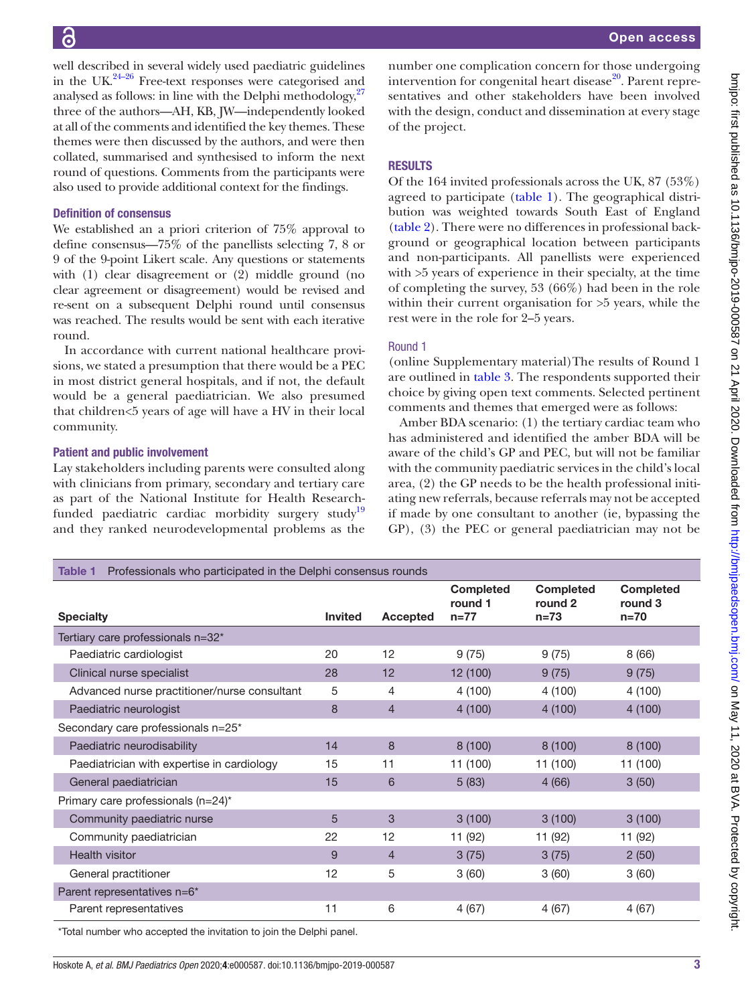bmipo: first published as 10.1136/bmipo-2019-000587 on 21 April 2020. Downloaded from http://bmipaedsopen.bmj.com/ on May 11, 2020 at BVA. Protected by copyright. on May 11, 2020 at BVA. Protected by copyright. <http://bmjpaedsopen.bmj.com/> bmjpo: first published as 10.1136/bmjpo-2019-000587 on 21 April 2020. Downloaded from

well described in several widely used paediatric guidelines in the UK $^{24-26}$  Free-text responses were categorised and analysed as follows: in line with the Delphi methodology, $27$ three of the authors—AH, KB, JW—independently looked at all of the comments and identified the key themes. These themes were then discussed by the authors, and were then collated, summarised and synthesised to inform the next round of questions. Comments from the participants were also used to provide additional context for the findings.

#### Definition of consensus

We established an a priori criterion of 75% approval to define consensus—75% of the panellists selecting 7, 8 or 9 of the 9-point Likert scale. Any questions or statements with (1) clear disagreement or (2) middle ground (no clear agreement or disagreement) would be revised and re-sent on a subsequent Delphi round until consensus was reached. The results would be sent with each iterative round.

In accordance with current national healthcare provisions, we stated a presumption that there would be a PEC in most district general hospitals, and if not, the default would be a general paediatrician. We also presumed that children<5 years of age will have a HV in their local community.

#### Patient and public involvement

Lay stakeholders including parents were consulted along with clinicians from primary, secondary and tertiary care as part of the National Institute for Health Researchfunded paediatric cardiac morbidity surgery study<sup>19</sup> and they ranked neurodevelopmental problems as the

number one complication concern for those undergoing intervention for congenital heart disease<sup>20</sup>. Parent representatives and other stakeholders have been involved with the design, conduct and dissemination at every stage of the project.

# **RESULTS**

Of the 164 invited professionals across the UK, 87 (53%) agreed to participate [\(table](#page-2-0) 1). The geographical distribution was weighted towards South East of England [\(table](#page-3-0) 2). There were no differences in professional background or geographical location between participants and non-participants. All panellists were experienced with >5 years of experience in their specialty, at the time of completing the survey, 53 (66%) had been in the role within their current organisation for >5 years, while the rest were in the role for 2–5 years.

#### Round 1

(online [Supplementary material\)](https://dx.doi.org/10.1136/bmjpo-2019-000587)The results of Round 1 are outlined in [table](#page-4-0) 3. The respondents supported their choice by giving open text comments. Selected pertinent comments and themes that emerged were as follows:

Amber BDA scenario: (1) the tertiary cardiac team who has administered and identified the amber BDA will be aware of the child's GP and PEC, but will not be familiar with the community paediatric services in the child's local area, (2) the GP needs to be the health professional initiating new referrals, because referrals may not be accepted if made by one consultant to another (ie, bypassing the GP), (3) the PEC or general paediatrician may not be

<span id="page-2-0"></span>

| Professionals who participated in the Delphi consensus rounds<br><b>Table 1</b> |                |          |                                         |                                       |                                       |
|---------------------------------------------------------------------------------|----------------|----------|-----------------------------------------|---------------------------------------|---------------------------------------|
| <b>Specialty</b>                                                                | <b>Invited</b> | Accepted | <b>Completed</b><br>round 1<br>$n = 77$ | <b>Completed</b><br>round 2<br>$n=73$ | <b>Completed</b><br>round 3<br>$n=70$ |
| Tertiary care professionals n=32*                                               |                |          |                                         |                                       |                                       |
| Paediatric cardiologist                                                         | 20             | 12       | 9(75)                                   | 9(75)                                 | 8(66)                                 |
| Clinical nurse specialist                                                       | 28             | 12       | 12 (100)                                | 9(75)                                 | 9(75)                                 |
| Advanced nurse practitioner/nurse consultant                                    | 5              | 4        | 4(100)                                  | 4(100)                                | 4(100)                                |
| Paediatric neurologist                                                          | 8              | 4        | 4(100)                                  | 4(100)                                | 4(100)                                |
| Secondary care professionals n=25*                                              |                |          |                                         |                                       |                                       |
| Paediatric neurodisability                                                      | 14             | 8        | 8(100)                                  | 8(100)                                | 8(100)                                |
| Paediatrician with expertise in cardiology                                      | 15             | 11       | 11 (100)                                | 11 (100)                              | 11 (100)                              |
| General paediatrician                                                           | 15             | 6        | 5(83)                                   | 4(66)                                 | 3(50)                                 |
| Primary care professionals (n=24)*                                              |                |          |                                         |                                       |                                       |
| Community paediatric nurse                                                      | 5              | 3        | 3(100)                                  | 3(100)                                | 3(100)                                |
| Community paediatrician                                                         | 22             | 12       | 11 (92)                                 | 11 (92)                               | 11 (92)                               |
| <b>Health visitor</b>                                                           | 9              | 4        | 3(75)                                   | 3(75)                                 | 2(50)                                 |
| General practitioner                                                            | 12             | 5        | 3(60)                                   | 3(60)                                 | 3(60)                                 |
| Parent representatives n=6*                                                     |                |          |                                         |                                       |                                       |
| Parent representatives                                                          | 11             | 6        | 4(67)                                   | 4(67)                                 | 4(67)                                 |

\*Total number who accepted the invitation to join the Delphi panel.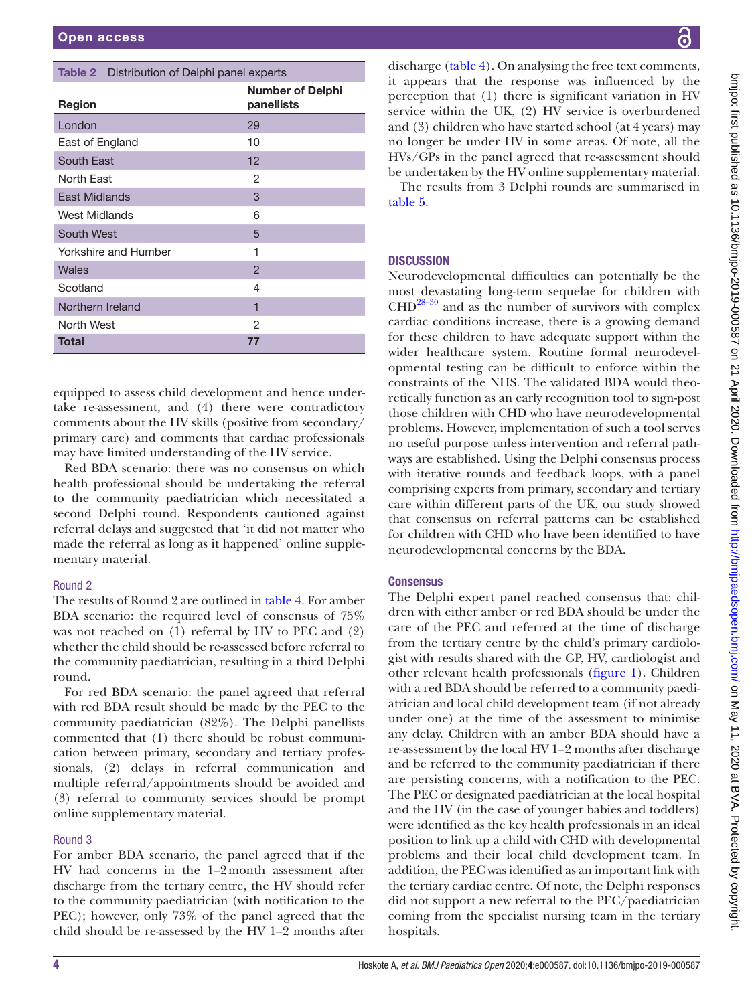#### <span id="page-3-0"></span>Table 2 Distribution of Delphi panel experts

| <b>Region</b>        | <b>Number of Delphi</b><br>panellists |
|----------------------|---------------------------------------|
| London               | 29                                    |
| East of England      | 10                                    |
| South East           | 12                                    |
| North East           | 2                                     |
| East Midlands        | 3                                     |
| West Midlands        | 6                                     |
| South West           | 5                                     |
| Yorkshire and Humber | 1                                     |
| Wales                | $\overline{2}$                        |
| Scotland             | 4                                     |
| Northern Ireland     | 1                                     |
| North West           | 2                                     |
| <b>Total</b>         | 77                                    |

equipped to assess child development and hence undertake re-assessment, and (4) there were contradictory comments about the HV skills (positive from secondary/ primary care) and comments that cardiac professionals may have limited understanding of the HV service.

Red BDA scenario: there was no consensus on which health professional should be undertaking the referral to the community paediatrician which necessitated a second Delphi round. Respondents cautioned against referral delays and suggested that 'it did not matter who made the referral as long as it happened' [online supple](https://dx.doi.org/10.1136/bmjpo-2019-000587)[mentary material.](https://dx.doi.org/10.1136/bmjpo-2019-000587)

# Round 2

The results of Round 2 are outlined in [table](#page-5-0) 4. For amber BDA scenario: the required level of consensus of 75% was not reached on (1) referral by HV to PEC and (2) whether the child should be re-assessed before referral to the community paediatrician, resulting in a third Delphi round.

For red BDA scenario: the panel agreed that referral with red BDA result should be made by the PEC to the community paediatrician (82%). The Delphi panellists commented that (1) there should be robust communication between primary, secondary and tertiary professionals, (2) delays in referral communication and multiple referral/appointments should be avoided and (3) referral to community services should be prompt [online supplementary material](https://dx.doi.org/10.1136/bmjpo-2019-000587).

# Round 3

For amber BDA scenario, the panel agreed that if the HV had concerns in the 1–2month assessment after discharge from the tertiary centre, the HV should refer to the community paediatrician (with notification to the PEC); however, only 73% of the panel agreed that the child should be re-assessed by the HV 1–2 months after

discharge [\(table](#page-5-0) 4). On analysing the free text comments, it appears that the response was influenced by the perception that (1) there is significant variation in HV service within the UK, (2) HV service is overburdened and (3) children who have started school (at 4 years) may no longer be under HV in some areas. Of note, all the HVs/GPs in the panel agreed that re-assessment should be undertaken by the HV [online supplementary material.](https://dx.doi.org/10.1136/bmjpo-2019-000587)

The results from 3 Delphi rounds are summarised in [table](#page-6-0) 5.

# **DISCUSSION**

Neurodevelopmental difficulties can potentially be the most devastating long-term sequelae for children with  $CHD<sup>28-30</sup>$  and as the number of survivors with complex cardiac conditions increase, there is a growing demand for these children to have adequate support within the wider healthcare system. Routine formal neurodevelopmental testing can be difficult to enforce within the constraints of the NHS. The validated BDA would theoretically function as an early recognition tool to sign-post those children with CHD who have neurodevelopmental problems. However, implementation of such a tool serves no useful purpose unless intervention and referral pathways are established. Using the Delphi consensus process with iterative rounds and feedback loops, with a panel comprising experts from primary, secondary and tertiary care within different parts of the UK, our study showed that consensus on referral patterns can be established for children with CHD who have been identified to have neurodevelopmental concerns by the BDA.

# **Consensus**

The Delphi expert panel reached consensus that: children with either amber or red BDA should be under the care of the PEC and referred at the time of discharge from the tertiary centre by the child's primary cardiologist with results shared with the GP, HV, cardiologist and other relevant health professionals ([figure](#page-7-0) 1). Children with a red BDA should be referred to a community paediatrician and local child development team (if not already under one) at the time of the assessment to minimise any delay. Children with an amber BDA should have a re-assessment by the local HV 1–2 months after discharge and be referred to the community paediatrician if there are persisting concerns, with a notification to the PEC. The PEC or designated paediatrician at the local hospital and the HV (in the case of younger babies and toddlers) were identified as the key health professionals in an ideal position to link up a child with CHD with developmental problems and their local child development team. In addition, the PEC was identified as an important link with the tertiary cardiac centre. Of note, the Delphi responses did not support a new referral to the PEC/paediatrician coming from the specialist nursing team in the tertiary hospitals.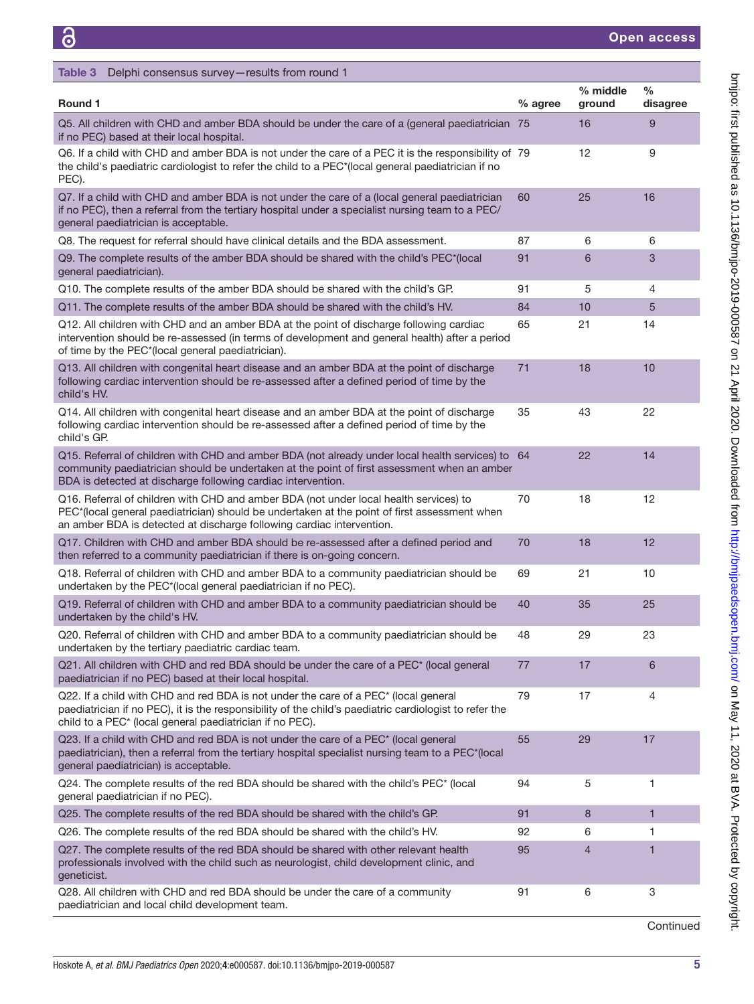<span id="page-4-0"></span>

| Delphi consensus survey-results from round 1<br>Table 3                                                                                                                                                                                                         |         |                    |                           |
|-----------------------------------------------------------------------------------------------------------------------------------------------------------------------------------------------------------------------------------------------------------------|---------|--------------------|---------------------------|
| Round 1                                                                                                                                                                                                                                                         | % agree | % middle<br>ground | $\frac{0}{0}$<br>disagree |
| Q5. All children with CHD and amber BDA should be under the care of a (general paediatrician 75<br>if no PEC) based at their local hospital.                                                                                                                    |         | 16                 | 9                         |
| Q6. If a child with CHD and amber BDA is not under the care of a PEC it is the responsibility of 79<br>the child's paediatric cardiologist to refer the child to a PEC*(local general paediatrician if no<br>PEC).                                              |         | 12                 | 9                         |
| Q7. If a child with CHD and amber BDA is not under the care of a (local general paediatrician<br>if no PEC), then a referral from the tertiary hospital under a specialist nursing team to a PEC/<br>general paediatrician is acceptable.                       | 60      | 25                 | 16                        |
| Q8. The request for referral should have clinical details and the BDA assessment.                                                                                                                                                                               | 87      | 6                  | 6                         |
| Q9. The complete results of the amber BDA should be shared with the child's PEC*(local<br>general paediatrician).                                                                                                                                               | 91      | 6                  | 3                         |
| Q10. The complete results of the amber BDA should be shared with the child's GP.                                                                                                                                                                                | 91      | 5                  | 4                         |
| Q11. The complete results of the amber BDA should be shared with the child's HV.                                                                                                                                                                                | 84      | 10                 | 5                         |
| Q12. All children with CHD and an amber BDA at the point of discharge following cardiac<br>intervention should be re-assessed (in terms of development and general health) after a period<br>of time by the PEC*(local general paediatrician).                  | 65      | 21                 | 14                        |
| Q13. All children with congenital heart disease and an amber BDA at the point of discharge<br>following cardiac intervention should be re-assessed after a defined period of time by the<br>child's HV.                                                         | 71      | 18                 | 10                        |
| Q14. All children with congenital heart disease and an amber BDA at the point of discharge<br>following cardiac intervention should be re-assessed after a defined period of time by the<br>child's GP.                                                         | 35      | 43                 | 22                        |
| Q15. Referral of children with CHD and amber BDA (not already under local health services) to 64<br>community paediatrician should be undertaken at the point of first assessment when an amber<br>BDA is detected at discharge following cardiac intervention. |         | 22                 | 14                        |
| Q16. Referral of children with CHD and amber BDA (not under local health services) to<br>PEC*(local general paediatrician) should be undertaken at the point of first assessment when<br>an amber BDA is detected at discharge following cardiac intervention.  | 70      | 18                 | 12                        |
| Q17. Children with CHD and amber BDA should be re-assessed after a defined period and<br>then referred to a community paediatrician if there is on-going concern.                                                                                               | 70      | 18                 | 12                        |
| Q18. Referral of children with CHD and amber BDA to a community paediatrician should be<br>undertaken by the PEC*(local general paediatrician if no PEC).                                                                                                       | 69      | 21                 | 10                        |
| Q19. Referral of children with CHD and amber BDA to a community paediatrician should be<br>undertaken by the child's HV.                                                                                                                                        | 40      | 35                 | 25                        |
| Q20. Referral of children with CHD and amber BDA to a community paediatrician should be<br>undertaken by the tertiary paediatric cardiac team.                                                                                                                  | 48      | 29                 | 23                        |
| Q21. All children with CHD and red BDA should be under the care of a PEC <sup>*</sup> (local general<br>paediatrician if no PEC) based at their local hospital.                                                                                                 | 77      | 17                 | 6                         |
| Q22. If a child with CHD and red BDA is not under the care of a PEC* (local general<br>paediatrician if no PEC), it is the responsibility of the child's paediatric cardiologist to refer the<br>child to a PEC* (local general paediatrician if no PEC).       | 79      | 17                 | 4                         |
| Q23. If a child with CHD and red BDA is not under the care of a PEC* (local general<br>paediatrician), then a referral from the tertiary hospital specialist nursing team to a PEC*(local<br>general paediatrician) is acceptable.                              | 55      | 29                 | 17                        |
| Q24. The complete results of the red BDA should be shared with the child's PEC* (local<br>general paediatrician if no PEC).                                                                                                                                     | 94      | 5                  | 1                         |
| Q25. The complete results of the red BDA should be shared with the child's GP.                                                                                                                                                                                  | 91      | 8                  | $\mathbf{1}$              |
| Q26. The complete results of the red BDA should be shared with the child's HV.                                                                                                                                                                                  | 92      | 6                  | 1                         |
| Q27. The complete results of the red BDA should be shared with other relevant health<br>professionals involved with the child such as neurologist, child development clinic, and<br>geneticist.                                                                 | 95      | 4                  | 1                         |
| Q28. All children with CHD and red BDA should be under the care of a community<br>paediatrician and local child development team.                                                                                                                               | 91      | 6                  | 3                         |

**Continued** 

on May 11, 2020 at BVA. Protected by copyright. <http://bmjpaedsopen.bmj.com/> bmjpo: first published as 10.1136/bmjpo-2019-000587 on 21 April 2020. Downloaded from

bmjpo: first published as 10.1136/bmjpo-2019-000587 on 21 April 2020. Downloaded from http://bmjpaedsopen.bmj.com/ on May 11, 2020 at BVA. Protected by copyright.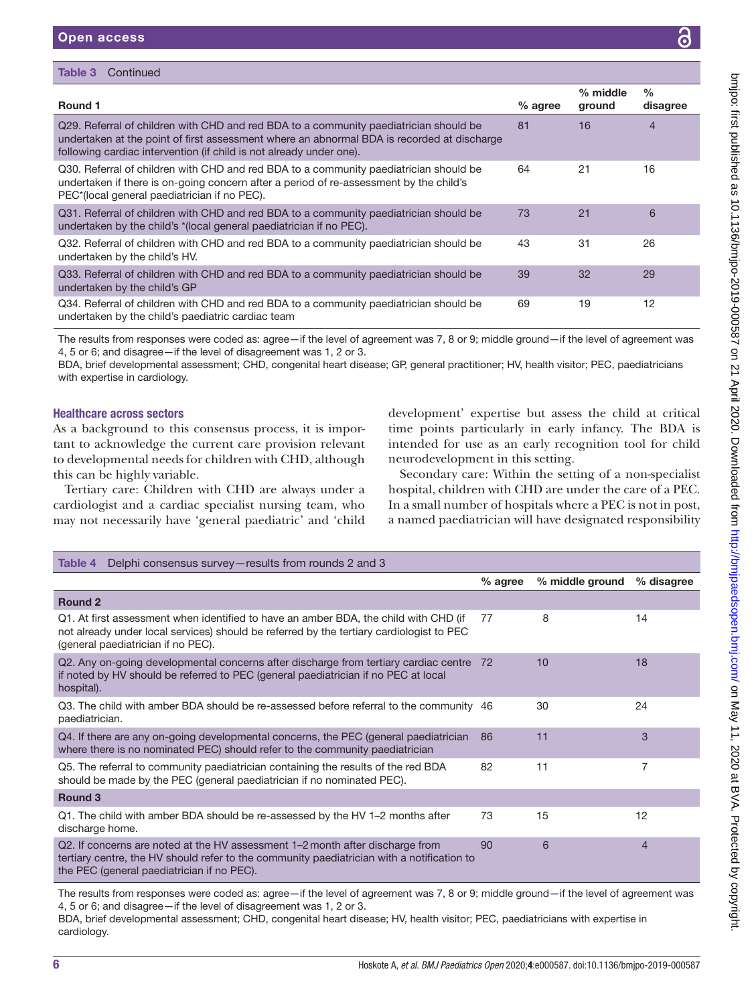| Table 3<br>Continued                                                                                                                                                                                                                                       |           |                      |                           |
|------------------------------------------------------------------------------------------------------------------------------------------------------------------------------------------------------------------------------------------------------------|-----------|----------------------|---------------------------|
| Round 1                                                                                                                                                                                                                                                    | $%$ agree | $%$ middle<br>ground | $\frac{0}{0}$<br>disagree |
| Q29. Referral of children with CHD and red BDA to a community paediatrician should be<br>undertaken at the point of first assessment where an abnormal BDA is recorded at discharge<br>following cardiac intervention (if child is not already under one). | 81        | 16                   | 4                         |
| Q30. Referral of children with CHD and red BDA to a community paediatrician should be<br>undertaken if there is on-going concern after a period of re-assessment by the child's<br>PEC*(local general paediatrician if no PEC).                            | 64        | 21                   | 16                        |
| Q31. Referral of children with CHD and red BDA to a community paediatrician should be<br>undertaken by the child's *(local general paediatrician if no PEC).                                                                                               | 73        | 21                   | 6                         |
| Q32. Referral of children with CHD and red BDA to a community paediatrician should be<br>undertaken by the child's HV.                                                                                                                                     | 43        | 31                   | 26                        |
| Q33. Referral of children with CHD and red BDA to a community paediatrician should be<br>undertaken by the child's GP                                                                                                                                      | 39        | 32                   | 29                        |
| Q34. Referral of children with CHD and red BDA to a community paediatrician should be<br>undertaken by the child's paediatric cardiac team                                                                                                                 | 69        | 19                   | 12                        |

The results from responses were coded as: agree—if the level of agreement was 7, 8 or 9; middle ground—if the level of agreement was 4, 5 or 6; and disagree—if the level of disagreement was 1, 2 or 3.

BDA, brief developmental assessment; CHD, congenital heart disease; GP, general practitioner; HV, health visitor; PEC, paediatricians with expertise in cardiology.

# Healthcare across sectors

As a background to this consensus process, it is important to acknowledge the current care provision relevant to developmental needs for children with CHD, although this can be highly variable.

Tertiary care: Children with CHD are always under a cardiologist and a cardiac specialist nursing team, who may not necessarily have 'general paediatric' and 'child development' expertise but assess the child at critical time points particularly in early infancy. The BDA is intended for use as an early recognition tool for child neurodevelopment in this setting.

Secondary care: Within the setting of a non-specialist hospital, children with CHD are under the care of a PEC. In a small number of hospitals where a PEC is not in post, a named paediatrician will have designated responsibility

<span id="page-5-0"></span>

| Delphi consensus survey-results from rounds 2 and 3<br>Table 4                                                                                                                                                            |           |                 |                |
|---------------------------------------------------------------------------------------------------------------------------------------------------------------------------------------------------------------------------|-----------|-----------------|----------------|
|                                                                                                                                                                                                                           | $%$ agree | % middle ground | % disagree     |
| <b>Round 2</b>                                                                                                                                                                                                            |           |                 |                |
| Q1. At first assessment when identified to have an amber BDA, the child with CHD (if<br>not already under local services) should be referred by the tertiary cardiologist to PEC<br>(general paediatrician if no PEC).    | 77        | 8               | 14             |
| Q2. Any on-going developmental concerns after discharge from tertiary cardiac centre 72<br>if noted by HV should be referred to PEC (general paediatrician if no PEC at local<br>hospital).                               |           | 10              | 18             |
| Q3. The child with amber BDA should be re-assessed before referral to the community 46<br>paediatrician.                                                                                                                  |           | 30              | 24             |
| Q4. If there are any on-going developmental concerns, the PEC (general paediatrician<br>where there is no nominated PEC) should refer to the community paediatrician                                                      | 86        | 11              | 3              |
| Q5. The referral to community paediatrician containing the results of the red BDA<br>should be made by the PEC (general paediatrician if no nominated PEC).                                                               | 82        | 11              | 7              |
| Round <sub>3</sub>                                                                                                                                                                                                        |           |                 |                |
| Q1. The child with amber BDA should be re-assessed by the HV 1–2 months after<br>discharge home.                                                                                                                          | 73        | 15              | 12             |
| Q2. If concerns are noted at the HV assessment 1–2 month after discharge from<br>tertiary centre, the HV should refer to the community paediatrician with a notification to<br>the PEC (general paediatrician if no PEC). | 90        | 6               | $\overline{4}$ |

The results from responses were coded as: agree—if the level of agreement was 7, 8 or 9; middle ground—if the level of agreement was 4, 5 or 6; and disagree—if the level of disagreement was 1, 2 or 3.

BDA, brief developmental assessment; CHD, congenital heart disease; HV, health visitor; PEC, paediatricians with expertise in cardiology.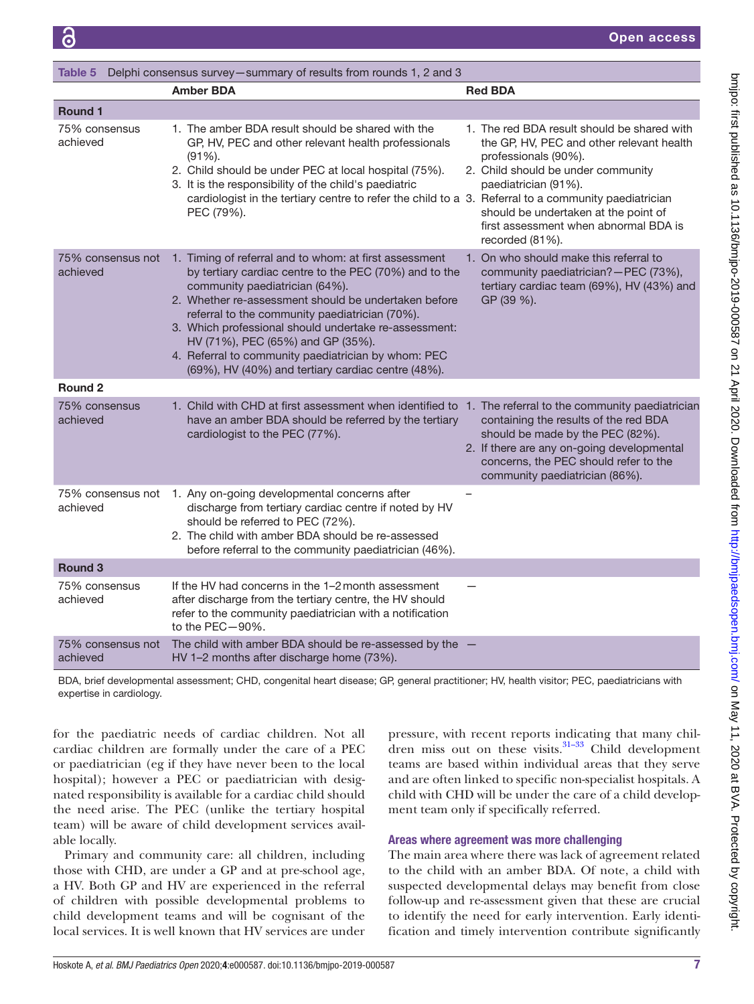<span id="page-6-0"></span>

| Table 5<br>Delphi consensus survey-summary of results from rounds 1, 2 and 3 |                                                                                                                                                                                                                                                                                                                                                                                                                                                                         |                                                                                                                                                                                                                                                                                    |  |
|------------------------------------------------------------------------------|-------------------------------------------------------------------------------------------------------------------------------------------------------------------------------------------------------------------------------------------------------------------------------------------------------------------------------------------------------------------------------------------------------------------------------------------------------------------------|------------------------------------------------------------------------------------------------------------------------------------------------------------------------------------------------------------------------------------------------------------------------------------|--|
|                                                                              | <b>Amber BDA</b>                                                                                                                                                                                                                                                                                                                                                                                                                                                        | <b>Red BDA</b>                                                                                                                                                                                                                                                                     |  |
| Round 1                                                                      |                                                                                                                                                                                                                                                                                                                                                                                                                                                                         |                                                                                                                                                                                                                                                                                    |  |
| 75% consensus<br>achieved                                                    | 1. The amber BDA result should be shared with the<br>GP, HV, PEC and other relevant health professionals<br>$(91\%)$ .<br>2. Child should be under PEC at local hospital (75%).<br>3. It is the responsibility of the child's paediatric<br>cardiologist in the tertiary centre to refer the child to a 3. Referral to a community paediatrician<br>PEC (79%).                                                                                                          | 1. The red BDA result should be shared with<br>the GP, HV, PEC and other relevant health<br>professionals (90%).<br>2. Child should be under community<br>paediatrician (91%).<br>should be undertaken at the point of<br>first assessment when abnormal BDA is<br>recorded (81%). |  |
| 75% consensus not<br>achieved                                                | 1. Timing of referral and to whom: at first assessment<br>by tertiary cardiac centre to the PEC (70%) and to the<br>community paediatrician (64%).<br>2. Whether re-assessment should be undertaken before<br>referral to the community paediatrician (70%).<br>3. Which professional should undertake re-assessment:<br>HV (71%), PEC (65%) and GP (35%).<br>4. Referral to community paediatrician by whom: PEC<br>(69%), HV (40%) and tertiary cardiac centre (48%). | 1. On who should make this referral to<br>community paediatrician?-PEC (73%),<br>tertiary cardiac team (69%), HV (43%) and<br>GP (39 %).                                                                                                                                           |  |
| Round <sub>2</sub>                                                           |                                                                                                                                                                                                                                                                                                                                                                                                                                                                         |                                                                                                                                                                                                                                                                                    |  |
| 75% consensus<br>achieved                                                    | 1. Child with CHD at first assessment when identified to 1. The referral to the community paediatrician<br>have an amber BDA should be referred by the tertiary<br>cardiologist to the PEC (77%).                                                                                                                                                                                                                                                                       | containing the results of the red BDA<br>should be made by the PEC (82%).<br>2. If there are any on-going developmental<br>concerns, the PEC should refer to the<br>community paediatrician (86%).                                                                                 |  |
| 75% consensus not<br>achieved                                                | 1. Any on-going developmental concerns after<br>discharge from tertiary cardiac centre if noted by HV<br>should be referred to PEC (72%).<br>2. The child with amber BDA should be re-assessed<br>before referral to the community paediatrician (46%).                                                                                                                                                                                                                 |                                                                                                                                                                                                                                                                                    |  |
| <b>Round 3</b>                                                               |                                                                                                                                                                                                                                                                                                                                                                                                                                                                         |                                                                                                                                                                                                                                                                                    |  |
| 75% consensus<br>achieved                                                    | If the HV had concerns in the 1-2 month assessment<br>after discharge from the tertiary centre, the HV should<br>refer to the community paediatrician with a notification<br>to the $PEC - 90\%$ .                                                                                                                                                                                                                                                                      |                                                                                                                                                                                                                                                                                    |  |
| 75% consensus not<br>achieved                                                | The child with amber BDA should be re-assessed by the $-$<br>HV 1-2 months after discharge home (73%).                                                                                                                                                                                                                                                                                                                                                                  |                                                                                                                                                                                                                                                                                    |  |

BDA, brief developmental assessment; CHD, congenital heart disease; GP, general practitioner; HV, health visitor; PEC, paediatricians with expertise in cardiology.

for the paediatric needs of cardiac children. Not all cardiac children are formally under the care of a PEC or paediatrician (eg if they have never been to the local hospital); however a PEC or paediatrician with designated responsibility is available for a cardiac child should the need arise. The PEC (unlike the tertiary hospital team) will be aware of child development services available locally.

Primary and community care: all children, including those with CHD, are under a GP and at pre-school age, a HV. Both GP and HV are experienced in the referral of children with possible developmental problems to child development teams and will be cognisant of the local services. It is well known that HV services are under

pressure, with recent reports indicating that many children miss out on these visits. $31-33$  Child development teams are based within individual areas that they serve and are often linked to specific non-specialist hospitals. A child with CHD will be under the care of a child development team only if specifically referred.

# Areas where agreement was more challenging

The main area where there was lack of agreement related to the child with an amber BDA. Of note, a child with suspected developmental delays may benefit from close follow-up and re-assessment given that these are crucial to identify the need for early intervention. Early identification and timely intervention contribute significantly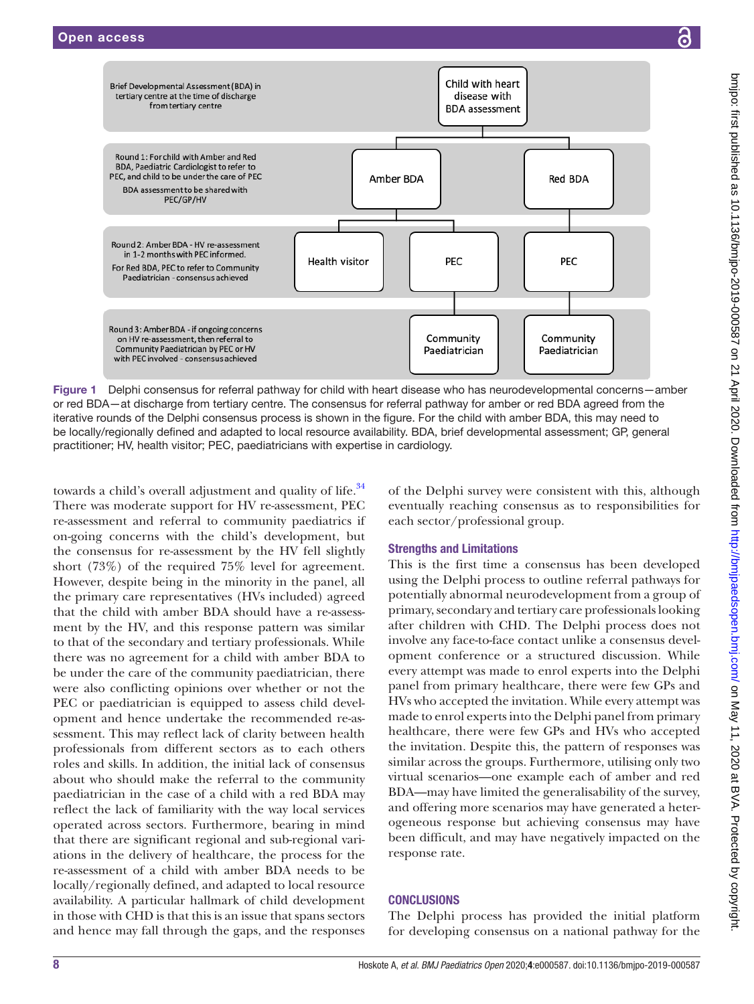



<span id="page-7-0"></span>Figure 1 Delphi consensus for referral pathway for child with heart disease who has neurodevelopmental concerns—amber or red BDA—at discharge from tertiary centre. The consensus for referral pathway for amber or red BDA agreed from the iterative rounds of the Delphi consensus process is shown in the figure. For the child with amber BDA, this may need to be locally/regionally defined and adapted to local resource availability. BDA, brief developmental assessment; GP, general practitioner; HV, health visitor; PEC, paediatricians with expertise in cardiology.

towards a child's overall adjustment and quality of life.<sup>34</sup> There was moderate support for HV re-assessment, PEC re-assessment and referral to community paediatrics if on-going concerns with the child's development, but the consensus for re-assessment by the HV fell slightly short (73%) of the required 75% level for agreement. However, despite being in the minority in the panel, all the primary care representatives (HVs included) agreed that the child with amber BDA should have a re-assessment by the HV, and this response pattern was similar to that of the secondary and tertiary professionals. While there was no agreement for a child with amber BDA to be under the care of the community paediatrician, there were also conflicting opinions over whether or not the PEC or paediatrician is equipped to assess child development and hence undertake the recommended re-assessment. This may reflect lack of clarity between health professionals from different sectors as to each others roles and skills. In addition, the initial lack of consensus about who should make the referral to the community paediatrician in the case of a child with a red BDA may reflect the lack of familiarity with the way local services operated across sectors. Furthermore, bearing in mind that there are significant regional and sub-regional variations in the delivery of healthcare, the process for the re-assessment of a child with amber BDA needs to be locally/regionally defined, and adapted to local resource availability. A particular hallmark of child development in those with CHD is that this is an issue that spans sectors and hence may fall through the gaps, and the responses

of the Delphi survey were consistent with this, although eventually reaching consensus as to responsibilities for each sector/professional group.

# Strengths and Limitations

This is the first time a consensus has been developed using the Delphi process to outline referral pathways for potentially abnormal neurodevelopment from a group of primary, secondary and tertiary care professionals looking after children with CHD. The Delphi process does not involve any face-to-face contact unlike a consensus development conference or a structured discussion. While every attempt was made to enrol experts into the Delphi panel from primary healthcare, there were few GPs and HVs who accepted the invitation. While every attempt was made to enrol experts into the Delphi panel from primary healthcare, there were few GPs and HVs who accepted the invitation. Despite this, the pattern of responses was similar across the groups. Furthermore, utilising only two virtual scenarios—one example each of amber and red BDA—may have limited the generalisability of the survey, and offering more scenarios may have generated a heterogeneous response but achieving consensus may have been difficult, and may have negatively impacted on the response rate.

# **CONCLUSIONS**

The Delphi process has provided the initial platform for developing consensus on a national pathway for the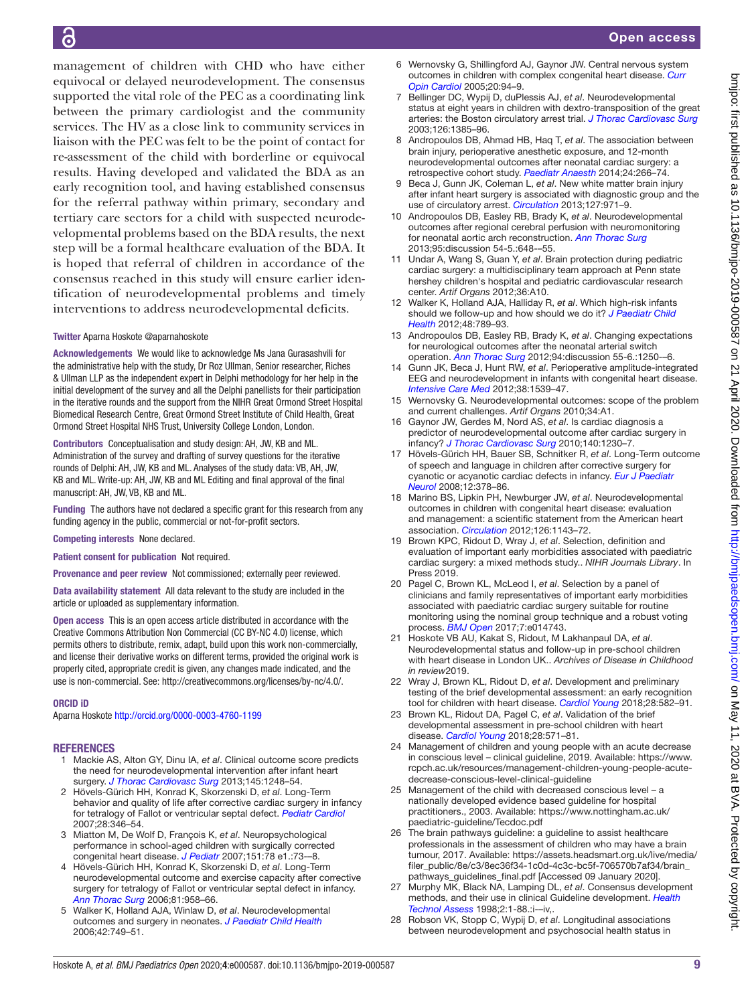management of children with CHD who have either equivocal or delayed neurodevelopment. The consensus supported the vital role of the PEC as a coordinating link between the primary cardiologist and the community services. The HV as a close link to community services in liaison with the PEC was felt to be the point of contact for re-assessment of the child with borderline or equivocal results. Having developed and validated the BDA as an early recognition tool, and having established consensus for the referral pathway within primary, secondary and tertiary care sectors for a child with suspected neurodevelopmental problems based on the BDA results, the next step will be a formal healthcare evaluation of the BDA. It is hoped that referral of children in accordance of the consensus reached in this study will ensure earlier identification of neurodevelopmental problems and timely interventions to address neurodevelopmental deficits.

#### Twitter Aparna Hoskote [@aparnahoskote](https://twitter.com/aparnahoskote)

Acknowledgements We would like to acknowledge Ms Jana Gurasashvili for the administrative help with the study, Dr Roz Ullman, Senior researcher, Riches & Ullman LLP as the independent expert in Delphi methodology for her help in the initial development of the survey and all the Delphi panellists for their participation in the iterative rounds and the support from the NIHR Great Ormond Street Hospital Biomedical Research Centre, Great Ormond Street Institute of Child Health, Great Ormond Street Hospital NHS Trust, University College London, London.

Contributors Conceptualisation and study design: AH, JW, KB and ML. Administration of the survey and drafting of survey questions for the iterative rounds of Delphi: AH, JW, KB and ML. Analyses of the study data: VB, AH, JW, KB and ML. Write-up: AH, JW, KB and ML Editing and final approval of the final manuscript: AH, JW, VB, KB and ML.

Funding The authors have not declared a specific grant for this research from any funding agency in the public, commercial or not-for-profit sectors.

Competing interests None declared.

Patient consent for publication Not required.

Provenance and peer review Not commissioned; externally peer reviewed.

Data availability statement All data relevant to the study are included in the article or uploaded as supplementary information.

Open access This is an open access article distributed in accordance with the Creative Commons Attribution Non Commercial (CC BY-NC 4.0) license, which permits others to distribute, remix, adapt, build upon this work non-commercially, and license their derivative works on different terms, provided the original work is properly cited, appropriate credit is given, any changes made indicated, and the use is non-commercial. See:<http://creativecommons.org/licenses/by-nc/4.0/>.

#### ORCID iD

Aparna Hoskote <http://orcid.org/0000-0003-4760-1199>

#### <span id="page-8-0"></span>**REFERENCES**

- 1 Mackie AS, Alton GY, Dinu IA, *et al*. Clinical outcome score predicts the need for neurodevelopmental intervention after infant heart surgery. *[J Thorac Cardiovasc Surg](http://dx.doi.org/10.1016/j.jtcvs.2012.04.029)* 2013;145:1248–54.
- 2 Hövels-Gürich HH, Konrad K, Skorzenski D, *et al*. Long-Term behavior and quality of life after corrective cardiac surgery in infancy for tetralogy of Fallot or ventricular septal defect. *[Pediatr Cardiol](http://dx.doi.org/10.1007/s00246-006-0123-z)* 2007;28:346–54.
- 3 Miatton M, De Wolf D, François K, *et al*. Neuropsychological performance in school-aged children with surgically corrected congenital heart disease. *[J Pediatr](http://dx.doi.org/10.1016/j.jpeds.2007.02.020)* 2007;151:78 e1.:73-–8.
- 4 Hövels-Gürich HH, Konrad K, Skorzenski D, *et al*. Long-Term neurodevelopmental outcome and exercise capacity after corrective surgery for tetralogy of Fallot or ventricular septal defect in infancy. *[Ann Thorac Surg](http://dx.doi.org/10.1016/j.athoracsur.2005.09.010)* 2006;81:958–66.
- 5 Walker K, Holland AJA, Winlaw D, *et al*. Neurodevelopmental outcomes and surgery in neonates. *[J Paediatr Child Health](http://dx.doi.org/10.1111/j.1440-1754.2006.00969.x)* 2006;42:749–51.
- 6 Wernovsky G, Shillingford AJ, Gaynor JW. Central nervous system outcomes in children with complex congenital heart disease. *[Curr](http://dx.doi.org/10.1097/01.hco.0000153451.68212.68)  [Opin Cardiol](http://dx.doi.org/10.1097/01.hco.0000153451.68212.68)* 2005;20:94–9.
- 7 Bellinger DC, Wypij D, duPlessis AJ, *et al*. Neurodevelopmental status at eight years in children with dextro-transposition of the great arteries: the Boston circulatory arrest trial. *[J Thorac Cardiovasc Surg](http://dx.doi.org/10.1016/S0022-5223(03)00711-6)* 2003;126:1385–96.
- 8 Andropoulos DB, Ahmad HB, Haq T, *et al*. The association between brain injury, perioperative anesthetic exposure, and 12-month neurodevelopmental outcomes after neonatal cardiac surgery: a retrospective cohort study. *[Paediatr Anaesth](http://dx.doi.org/10.1111/pan.12350)* 2014;24:266–74.
- 9 Beca J, Gunn JK, Coleman L, *et al*. New white matter brain injury after infant heart surgery is associated with diagnostic group and the use of circulatory arrest. *[Circulation](http://dx.doi.org/10.1161/CIRCULATIONAHA.112.001089)* 2013;127:971–9.
- 10 Andropoulos DB, Easley RB, Brady K, *et al*. Neurodevelopmental outcomes after regional cerebral perfusion with neuromonitoring for neonatal aortic arch reconstruction. *[Ann Thorac Surg](http://dx.doi.org/10.1016/j.athoracsur.2012.04.070)* 2013;95:discussion 54-5.:648-–55.
- 11 Undar A, Wang S, Guan Y, *et al*. Brain protection during pediatric cardiac surgery: a multidisciplinary team approach at Penn state hershey children's hospital and pediatric cardiovascular research center. *Artif Organs* 2012;36:A10.
- 12 Walker K, Holland AJA, Halliday R, *et al*. Which high-risk infants should we follow-up and how should we do it? *[J Paediatr Child](http://dx.doi.org/10.1111/j.1440-1754.2012.02540.x)  [Health](http://dx.doi.org/10.1111/j.1440-1754.2012.02540.x)* 2012;48:789–93.
- 13 Andropoulos DB, Easley RB, Brady K, *et al*. Changing expectations for neurological outcomes after the neonatal arterial switch operation. *[Ann Thorac Surg](http://dx.doi.org/10.1016/j.athoracsur.2012.04.050)* 2012;94:discussion 55-6.:1250-–6.
- 14 Gunn JK, Beca J, Hunt RW, *et al*. Perioperative amplitude-integrated EEG and neurodevelopment in infants with congenital heart disease. *[Intensive Care Med](http://dx.doi.org/10.1007/s00134-012-2608-y)* 2012;38:1539–47.
- 15 Wernovsky G. Neurodevelopmental outcomes: scope of the problem and current challenges. *Artif Organs* 2010;34:A1.
- 16 Gaynor JW, Gerdes M, Nord AS, *et al*. Is cardiac diagnosis a predictor of neurodevelopmental outcome after cardiac surgery in infancy? *[J Thorac Cardiovasc Surg](http://dx.doi.org/10.1016/j.jtcvs.2010.07.069)* 2010;140:1230–7.
- 17 Hövels-Gürich HH, Bauer SB, Schnitker R, *et al*. Long-Term outcome of speech and language in children after corrective surgery for cyanotic or acyanotic cardiac defects in infancy. *[Eur J Paediatr](http://dx.doi.org/10.1016/j.ejpn.2007.10.004)  [Neurol](http://dx.doi.org/10.1016/j.ejpn.2007.10.004)* 2008;12:378–86.
- <span id="page-8-1"></span>18 Marino BS, Lipkin PH, Newburger JW, *et al*. Neurodevelopmental outcomes in children with congenital heart disease: evaluation and management: a scientific statement from the American heart association. *[Circulation](http://dx.doi.org/10.1161/CIR.0b013e318265ee8a)* 2012;126:1143–72.
- <span id="page-8-2"></span>19 Brown KPC, Ridout D, Wray J, *et al*. Selection, definition and evaluation of important early morbidities associated with paediatric cardiac surgery: a mixed methods study.. *NIHR Journals Library*. In Press 2019.
- <span id="page-8-3"></span>20 Pagel C, Brown KL, McLeod I, *et al*. Selection by a panel of clinicians and family representatives of important early morbidities associated with paediatric cardiac surgery suitable for routine monitoring using the nominal group technique and a robust voting process. *[BMJ Open](http://dx.doi.org/10.1136/bmjopen-2016-014743)* 2017;7:e014743.
- <span id="page-8-4"></span>21 Hoskote VB AU, Kakat S, Ridout, M Lakhanpaul DA, *et al*. Neurodevelopmental status and follow-up in pre-school children with heart disease in London UK.. *Archives of Disease in Childhood in review*2019.
- <span id="page-8-5"></span>22 Wray J, Brown KL, Ridout D, *et al*. Development and preliminary testing of the brief developmental assessment: an early recognition tool for children with heart disease. *[Cardiol Young](http://dx.doi.org/10.1017/S1047951117002918)* 2018;28:582–91.
- <span id="page-8-6"></span>23 Brown KL, Ridout DA, Pagel C, *et al*. Validation of the brief developmental assessment in pre-school children with heart disease. *[Cardiol Young](http://dx.doi.org/10.1017/S1047951117002773)* 2018;28:571–81.
- <span id="page-8-7"></span>24 Management of children and young people with an acute decrease in conscious level – clinical guideline, 2019. Available: [https://www.](https://www.rcpch.ac.uk/resources/management-children-young-people-acute-decrease-conscious-level-clinical-guideline) [rcpch.ac.uk/resources/management-children-young-people-acute](https://www.rcpch.ac.uk/resources/management-children-young-people-acute-decrease-conscious-level-clinical-guideline)[decrease-conscious-level-clinical-guideline](https://www.rcpch.ac.uk/resources/management-children-young-people-acute-decrease-conscious-level-clinical-guideline)
- 25 Management of the child with decreased conscious level a nationally developed evidence based guideline for hospital practitioners., 2003. Available: [https://www.nottingham.ac.uk/](https://www.nottingham.ac.uk/paediatric-guideline/Tecdoc.pdf) [paediatric-guideline/Tecdoc.pdf](https://www.nottingham.ac.uk/paediatric-guideline/Tecdoc.pdf)
- 26 The brain pathways guideline: a guideline to assist healthcare professionals in the assessment of children who may have a brain tumour, 2017. Available: [https://assets.headsmart.org.uk/live/media/](https://assets.headsmart.org.uk/live/media/filer_public/8e/c3/8ec36f34-1c0d-4c3c-bc5f-706570b7af34/brain_pathways_guidelines_final.pdf) [filer\\_public/8e/c3/8ec36f34-1c0d-4c3c-bc5f-706570b7af34/brain\\_](https://assets.headsmart.org.uk/live/media/filer_public/8e/c3/8ec36f34-1c0d-4c3c-bc5f-706570b7af34/brain_pathways_guidelines_final.pdf) [pathways\\_guidelines\\_final.pdf](https://assets.headsmart.org.uk/live/media/filer_public/8e/c3/8ec36f34-1c0d-4c3c-bc5f-706570b7af34/brain_pathways_guidelines_final.pdf) [Accessed 09 January 2020].
- <span id="page-8-8"></span>27 Murphy MK, Black NA, Lamping DL, *et al*. Consensus development methods, and their use in clinical Guideline development. *[Health](http://dx.doi.org/10.3310/hta2030)  [Technol Assess](http://dx.doi.org/10.3310/hta2030)* 1998;2:1-88.:i-–iv,.
- <span id="page-8-9"></span>28 Robson VK, Stopp C, Wypij D, *et al*. Longitudinal associations between neurodevelopment and psychosocial health status in